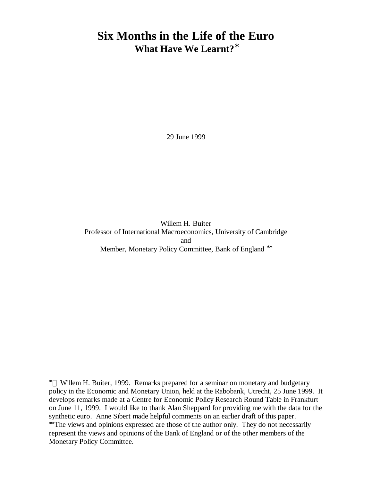# **Six Months in the Life of the Euro What Have We Learnt?\***

29 June 1999

Willem H. Buiter Professor of International Macroeconomics, University of Cambridge and Member, Monetary Policy Committee, Bank of England <sup>\*\*</sup>

l

<sup>∗</sup> Willem H. Buiter, 1999. Remarks prepared for a seminar on monetary and budgetary policy in the Economic and Monetary Union, held at the Rabobank, Utrecht, 25 June 1999. It develops remarks made at a Centre for Economic Policy Research Round Table in Frankfurt on June 11, 1999. I would like to thank Alan Sheppard for providing me with the data for the synthetic euro. Anne Sibert made helpful comments on an earlier draft of this paper.

<sup>∗∗</sup> The views and opinions expressed are those of the author only. They do not necessarily represent the views and opinions of the Bank of England or of the other members of the Monetary Policy Committee.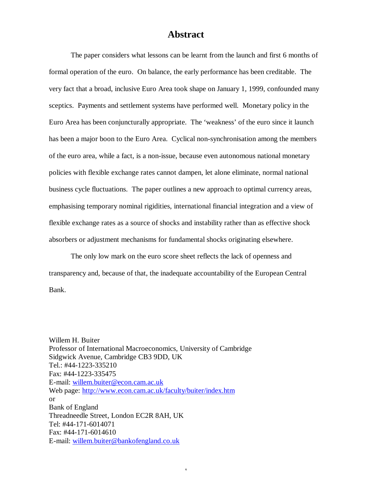# **Abstract**

The paper considers what lessons can be learnt from the launch and first 6 months of formal operation of the euro. On balance, the early performance has been creditable. The very fact that a broad, inclusive Euro Area took shape on January 1, 1999, confounded many sceptics. Payments and settlement systems have performed well. Monetary policy in the Euro Area has been conjuncturally appropriate. The 'weakness' of the euro since it launch has been a major boon to the Euro Area. Cyclical non-synchronisation among the members of the euro area, while a fact, is a non-issue, because even autonomous national monetary policies with flexible exchange rates cannot dampen, let alone eliminate, normal national business cycle fluctuations. The paper outlines a new approach to optimal currency areas, emphasising temporary nominal rigidities, international financial integration and a view of flexible exchange rates as a source of shocks and instability rather than as effective shock absorbers or adjustment mechanisms for fundamental shocks originating elsewhere.

The only low mark on the euro score sheet reflects the lack of openness and transparency and, because of that, the inadequate accountability of the European Central Bank.

1

Willem H. Buiter Professor of International Macroeconomics, University of Cambridge Sidgwick Avenue, Cambridge CB3 9DD, UK Tel.: #44-1223-335210 Fax: #44-1223-335475 E-mail: willem.buiter@econ.cam.ac.uk Web page: http://www.econ.cam.ac.uk/faculty/buiter/index.htm or Bank of England Threadneedle Street, London EC2R 8AH, UK Tel: #44-171-6014071 Fax: #44-171-6014610 E-mail: willem.buiter@bankofengland.co.uk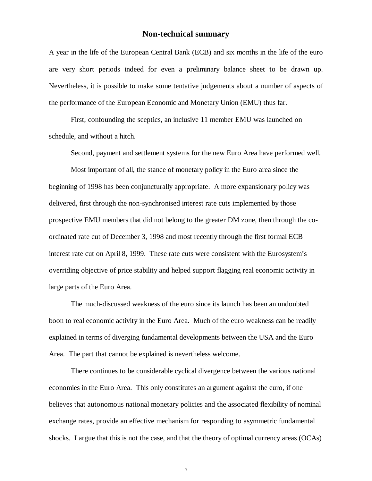## **Non-technical summary**

A year in the life of the European Central Bank (ECB) and six months in the life of the euro are very short periods indeed for even a preliminary balance sheet to be drawn up. Nevertheless, it is possible to make some tentative judgements about a number of aspects of the performance of the European Economic and Monetary Union (EMU) thus far.

First, confounding the sceptics, an inclusive 11 member EMU was launched on schedule, and without a hitch.

Second, payment and settlement systems for the new Euro Area have performed well.

Most important of all, the stance of monetary policy in the Euro area since the beginning of 1998 has been conjuncturally appropriate. A more expansionary policy was delivered, first through the non-synchronised interest rate cuts implemented by those prospective EMU members that did not belong to the greater DM zone, then through the coordinated rate cut of December 3, 1998 and most recently through the first formal ECB interest rate cut on April 8, 1999. These rate cuts were consistent with the Eurosystem's overriding objective of price stability and helped support flagging real economic activity in large parts of the Euro Area.

The much-discussed weakness of the euro since its launch has been an undoubted boon to real economic activity in the Euro Area. Much of the euro weakness can be readily explained in terms of diverging fundamental developments between the USA and the Euro Area. The part that cannot be explained is nevertheless welcome.

There continues to be considerable cyclical divergence between the various national economies in the Euro Area. This only constitutes an argument against the euro, if one believes that autonomous national monetary policies and the associated flexibility of nominal exchange rates, provide an effective mechanism for responding to asymmetric fundamental shocks. I argue that this is not the case, and that the theory of optimal currency areas (OCAs)

 $\Delta$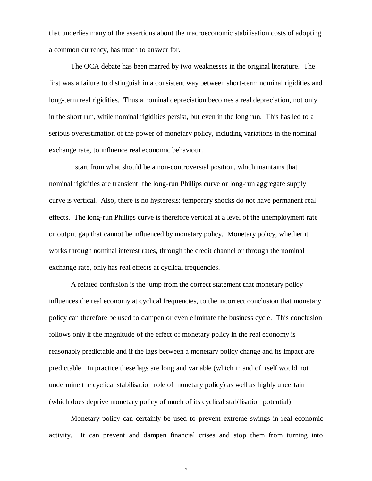that underlies many of the assertions about the macroeconomic stabilisation costs of adopting a common currency, has much to answer for.

The OCA debate has been marred by two weaknesses in the original literature. The first was a failure to distinguish in a consistent way between short-term nominal rigidities and long-term real rigidities. Thus a nominal depreciation becomes a real depreciation, not only in the short run, while nominal rigidities persist, but even in the long run. This has led to a serious overestimation of the power of monetary policy, including variations in the nominal exchange rate, to influence real economic behaviour.

I start from what should be a non-controversial position, which maintains that nominal rigidities are transient: the long-run Phillips curve or long-run aggregate supply curve is vertical. Also, there is no hysteresis: temporary shocks do not have permanent real effects. The long-run Phillips curve is therefore vertical at a level of the unemployment rate or output gap that cannot be influenced by monetary policy. Monetary policy, whether it works through nominal interest rates, through the credit channel or through the nominal exchange rate, only has real effects at cyclical frequencies.

A related confusion is the jump from the correct statement that monetary policy influences the real economy at cyclical frequencies, to the incorrect conclusion that monetary policy can therefore be used to dampen or even eliminate the business cycle. This conclusion follows only if the magnitude of the effect of monetary policy in the real economy is reasonably predictable and if the lags between a monetary policy change and its impact are predictable. In practice these lags are long and variable (which in and of itself would not undermine the cyclical stabilisation role of monetary policy) as well as highly uncertain (which does deprive monetary policy of much of its cyclical stabilisation potential).

Monetary policy can certainly be used to prevent extreme swings in real economic activity. It can prevent and dampen financial crises and stop them from turning into

 $\mathcal{L}$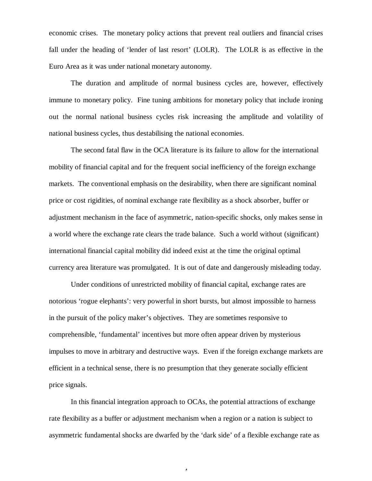economic crises. The monetary policy actions that prevent real outliers and financial crises fall under the heading of 'lender of last resort' (LOLR). The LOLR is as effective in the Euro Area as it was under national monetary autonomy.

The duration and amplitude of normal business cycles are, however, effectively immune to monetary policy. Fine tuning ambitions for monetary policy that include ironing out the normal national business cycles risk increasing the amplitude and volatility of national business cycles, thus destabilising the national economies.

The second fatal flaw in the OCA literature is its failure to allow for the international mobility of financial capital and for the frequent social inefficiency of the foreign exchange markets. The conventional emphasis on the desirability, when there are significant nominal price or cost rigidities, of nominal exchange rate flexibility as a shock absorber, buffer or adjustment mechanism in the face of asymmetric, nation-specific shocks, only makes sense in a world where the exchange rate clears the trade balance. Such a world without (significant) international financial capital mobility did indeed exist at the time the original optimal currency area literature was promulgated. It is out of date and dangerously misleading today.

Under conditions of unrestricted mobility of financial capital, exchange rates are notorious 'rogue elephants': very powerful in short bursts, but almost impossible to harness in the pursuit of the policy maker's objectives. They are sometimes responsive to comprehensible, 'fundamental' incentives but more often appear driven by mysterious impulses to move in arbitrary and destructive ways. Even if the foreign exchange markets are efficient in a technical sense, there is no presumption that they generate socially efficient price signals.

In this financial integration approach to OCAs, the potential attractions of exchange rate flexibility as a buffer or adjustment mechanism when a region or a nation is subject to asymmetric fundamental shocks are dwarfed by the 'dark side' of a flexible exchange rate as

 $\overline{a}$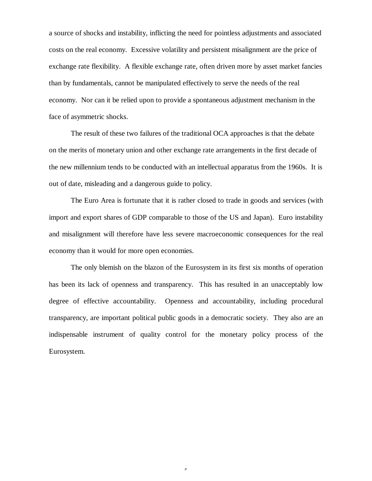a source of shocks and instability, inflicting the need for pointless adjustments and associated costs on the real economy. Excessive volatility and persistent misalignment are the price of exchange rate flexibility. A flexible exchange rate, often driven more by asset market fancies than by fundamentals, cannot be manipulated effectively to serve the needs of the real economy. Nor can it be relied upon to provide a spontaneous adjustment mechanism in the face of asymmetric shocks.

The result of these two failures of the traditional OCA approaches is that the debate on the merits of monetary union and other exchange rate arrangements in the first decade of the new millennium tends to be conducted with an intellectual apparatus from the 1960s. It is out of date, misleading and a dangerous guide to policy.

The Euro Area is fortunate that it is rather closed to trade in goods and services (with import and export shares of GDP comparable to those of the US and Japan). Euro instability and misalignment will therefore have less severe macroeconomic consequences for the real economy than it would for more open economies.

The only blemish on the blazon of the Eurosystem in its first six months of operation has been its lack of openness and transparency. This has resulted in an unacceptably low degree of effective accountability. Openness and accountability, including procedural transparency, are important political public goods in a democratic society. They also are an indispensable instrument of quality control for the monetary policy process of the Eurosystem.

 $\epsilon$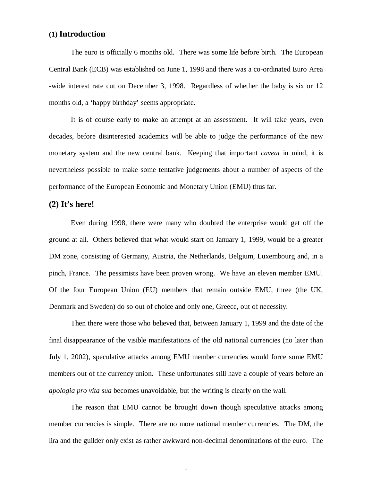# **(1) Introduction**

The euro is officially 6 months old. There was some life before birth. The European Central Bank (ECB) was established on June 1, 1998 and there was a co-ordinated Euro Area -wide interest rate cut on December 3, 1998. Regardless of whether the baby is six or 12 months old, a 'happy birthday' seems appropriate.

It is of course early to make an attempt at an assessment. It will take years, even decades, before disinterested academics will be able to judge the performance of the new monetary system and the new central bank. Keeping that important *caveat* in mind, it is nevertheless possible to make some tentative judgements about a number of aspects of the performance of the European Economic and Monetary Union (EMU) thus far.

## **(2) It's here!**

Even during 1998, there were many who doubted the enterprise would get off the ground at all. Others believed that what would start on January 1, 1999, would be a greater DM zone, consisting of Germany, Austria, the Netherlands, Belgium, Luxembourg and, in a pinch, France. The pessimists have been proven wrong. We have an eleven member EMU. Of the four European Union (EU) members that remain outside EMU, three (the UK, Denmark and Sweden) do so out of choice and only one, Greece, out of necessity.

Then there were those who believed that, between January 1, 1999 and the date of the final disappearance of the visible manifestations of the old national currencies (no later than July 1, 2002), speculative attacks among EMU member currencies would force some EMU members out of the currency union. These unfortunates still have a couple of years before an *apologia pro vita sua* becomes unavoidable, but the writing is clearly on the wall.

The reason that EMU cannot be brought down though speculative attacks among member currencies is simple. There are no more national member currencies. The DM, the lira and the guilder only exist as rather awkward non-decimal denominations of the euro. The

1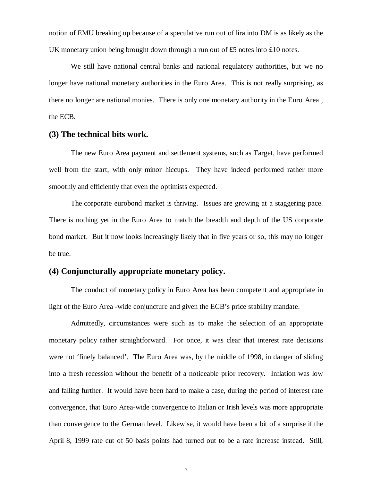notion of EMU breaking up because of a speculative run out of lira into DM is as likely as the UK monetary union being brought down through a run out of £5 notes into £10 notes.

We still have national central banks and national regulatory authorities, but we no longer have national monetary authorities in the Euro Area. This is not really surprising, as there no longer are national monies. There is only one monetary authority in the Euro Area , the ECB.

#### **(3) The technical bits work.**

The new Euro Area payment and settlement systems, such as Target, have performed well from the start, with only minor hiccups. They have indeed performed rather more smoothly and efficiently that even the optimists expected.

The corporate eurobond market is thriving. Issues are growing at a staggering pace. There is nothing yet in the Euro Area to match the breadth and depth of the US corporate bond market. But it now looks increasingly likely that in five years or so, this may no longer be true.

#### **(4) Conjuncturally appropriate monetary policy.**

The conduct of monetary policy in Euro Area has been competent and appropriate in light of the Euro Area -wide conjuncture and given the ECB's price stability mandate.

Admittedly, circumstances were such as to make the selection of an appropriate monetary policy rather straightforward. For once, it was clear that interest rate decisions were not 'finely balanced'. The Euro Area was, by the middle of 1998, in danger of sliding into a fresh recession without the benefit of a noticeable prior recovery. Inflation was low and falling further. It would have been hard to make a case, during the period of interest rate convergence, that Euro Area-wide convergence to Italian or Irish levels was more appropriate than convergence to the German level. Likewise, it would have been a bit of a surprise if the April 8, 1999 rate cut of 50 basis points had turned out to be a rate increase instead. Still,

 $\Delta$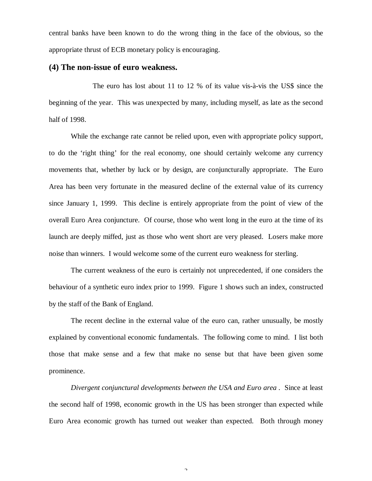central banks have been known to do the wrong thing in the face of the obvious, so the appropriate thrust of ECB monetary policy is encouraging.

#### **(4) The non-issue of euro weakness.**

The euro has lost about 11 to 12 % of its value vis-à-vis the US\$ since the beginning of the year. This was unexpected by many, including myself, as late as the second half of 1998.

While the exchange rate cannot be relied upon, even with appropriate policy support, to do the 'right thing' for the real economy, one should certainly welcome any currency movements that, whether by luck or by design, are conjuncturally appropriate. The Euro Area has been very fortunate in the measured decline of the external value of its currency since January 1, 1999. This decline is entirely appropriate from the point of view of the overall Euro Area conjuncture. Of course, those who went long in the euro at the time of its launch are deeply miffed, just as those who went short are very pleased. Losers make more noise than winners. I would welcome some of the current euro weakness for sterling.

The current weakness of the euro is certainly not unprecedented, if one considers the behaviour of a synthetic euro index prior to 1999. Figure 1 shows such an index, constructed by the staff of the Bank of England.

The recent decline in the external value of the euro can, rather unusually, be mostly explained by conventional economic fundamentals. The following come to mind. I list both those that make sense and a few that make no sense but that have been given some prominence.

*Divergent conjunctural developments between the USA and Euro area .* Since at least the second half of 1998, economic growth in the US has been stronger than expected while Euro Area economic growth has turned out weaker than expected. Both through money

 $\mathcal{L}$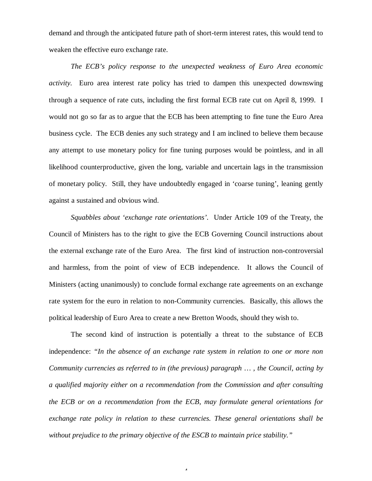demand and through the anticipated future path of short-term interest rates, this would tend to weaken the effective euro exchange rate.

*The ECB's policy response to the unexpected weakness of Euro Area economic activity.* Euro area interest rate policy has tried to dampen this unexpected downswing through a sequence of rate cuts, including the first formal ECB rate cut on April 8, 1999. I would not go so far as to argue that the ECB has been attempting to fine tune the Euro Area business cycle. The ECB denies any such strategy and I am inclined to believe them because any attempt to use monetary policy for fine tuning purposes would be pointless, and in all likelihood counterproductive, given the long, variable and uncertain lags in the transmission of monetary policy. Still, they have undoubtedly engaged in 'coarse tuning', leaning gently against a sustained and obvious wind.

*Squabbles about 'exchange rate orientations'.* Under Article 109 of the Treaty, the Council of Ministers has to the right to give the ECB Governing Council instructions about the external exchange rate of the Euro Area. The first kind of instruction non-controversial and harmless, from the point of view of ECB independence. It allows the Council of Ministers (acting unanimously) to conclude formal exchange rate agreements on an exchange rate system for the euro in relation to non-Community currencies. Basically, this allows the political leadership of Euro Area to create a new Bretton Woods, should they wish to.

The second kind of instruction is potentially a threat to the substance of ECB independence: *"In the absence of an exchange rate system in relation to one or more non Community currencies as referred to in (the previous) paragraph … , the Council, acting by a qualified majority either on a recommendation from the Commission and after consulting the ECB or on a recommendation from the ECB, may formulate general orientations for exchange rate policy in relation to these currencies. These general orientations shall be without prejudice to the primary objective of the ESCB to maintain price stability."*

 $\overline{a}$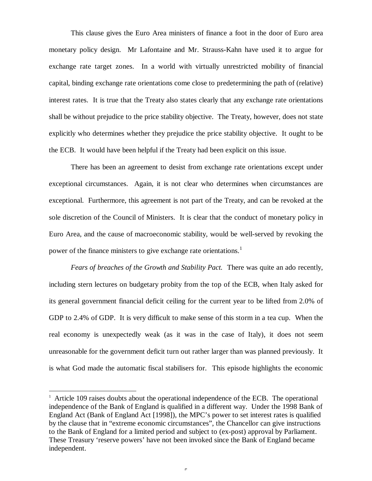This clause gives the Euro Area ministers of finance a foot in the door of Euro area monetary policy design. Mr Lafontaine and Mr. Strauss-Kahn have used it to argue for exchange rate target zones. In a world with virtually unrestricted mobility of financial capital, binding exchange rate orientations come close to predetermining the path of (relative) interest rates. It is true that the Treaty also states clearly that any exchange rate orientations shall be without prejudice to the price stability objective. The Treaty, however, does not state explicitly who determines whether they prejudice the price stability objective. It ought to be the ECB. It would have been helpful if the Treaty had been explicit on this issue.

There has been an agreement to desist from exchange rate orientations except under exceptional circumstances. Again, it is not clear who determines when circumstances are exceptional. Furthermore, this agreement is not part of the Treaty, and can be revoked at the sole discretion of the Council of Ministers. It is clear that the conduct of monetary policy in Euro Area, and the cause of macroeconomic stability, would be well-served by revoking the power of the finance ministers to give exchange rate orientations.<sup>1</sup>

*Fears of breaches of the Growth and Stability Pact.* There was quite an ado recently, including stern lectures on budgetary probity from the top of the ECB, when Italy asked for its general government financial deficit ceiling for the current year to be lifted from 2.0% of GDP to 2.4% of GDP. It is very difficult to make sense of this storm in a tea cup. When the real economy is unexpectedly weak (as it was in the case of Italy), it does not seem unreasonable for the government deficit turn out rather larger than was planned previously. It is what God made the automatic fiscal stabilisers for. This episode highlights the economic

-

<sup>&</sup>lt;sup>1</sup> Article 109 raises doubts about the operational independence of the ECB. The operational independence of the Bank of England is qualified in a different way. Under the 1998 Bank of England Act (Bank of England Act [1998]), the MPC's power to set interest rates is qualified by the clause that in "extreme economic circumstances", the Chancellor can give instructions to the Bank of England for a limited period and subject to (ex-post) approval by Parliament. These Treasury 'reserve powers' have not been invoked since the Bank of England became independent.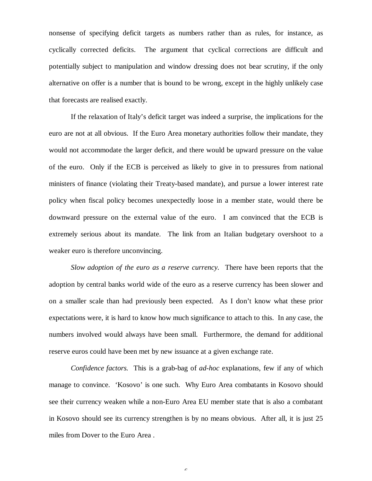nonsense of specifying deficit targets as numbers rather than as rules, for instance, as cyclically corrected deficits. The argument that cyclical corrections are difficult and potentially subject to manipulation and window dressing does not bear scrutiny, if the only alternative on offer is a number that is bound to be wrong, except in the highly unlikely case that forecasts are realised exactly.

If the relaxation of Italy's deficit target was indeed a surprise, the implications for the euro are not at all obvious. If the Euro Area monetary authorities follow their mandate, they would not accommodate the larger deficit, and there would be upward pressure on the value of the euro. Only if the ECB is perceived as likely to give in to pressures from national ministers of finance (violating their Treaty-based mandate), and pursue a lower interest rate policy when fiscal policy becomes unexpectedly loose in a member state, would there be downward pressure on the external value of the euro. I am convinced that the ECB is extremely serious about its mandate. The link from an Italian budgetary overshoot to a weaker euro is therefore unconvincing.

*Slow adoption of the euro as a reserve currency.* There have been reports that the adoption by central banks world wide of the euro as a reserve currency has been slower and on a smaller scale than had previously been expected. As I don't know what these prior expectations were, it is hard to know how much significance to attach to this. In any case, the numbers involved would always have been small. Furthermore, the demand for additional reserve euros could have been met by new issuance at a given exchange rate.

*Confidence factors.* This is a grab-bag of *ad-hoc* explanations, few if any of which manage to convince. 'Kosovo' is one such. Why Euro Area combatants in Kosovo should see their currency weaken while a non-Euro Area EU member state that is also a combatant in Kosovo should see its currency strengthen is by no means obvious. After all, it is just 25 miles from Dover to the Euro Area .

 $\epsilon$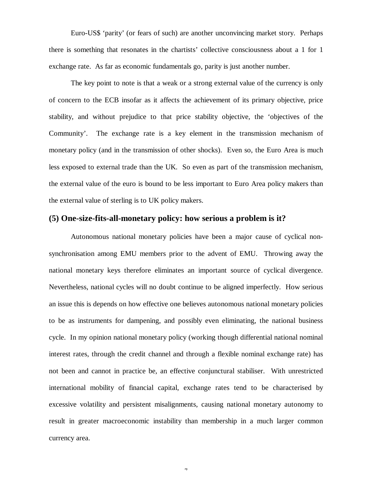Euro-US\$ 'parity' (or fears of such) are another unconvincing market story. Perhaps there is something that resonates in the chartists' collective consciousness about a 1 for 1 exchange rate. As far as economic fundamentals go, parity is just another number.

The key point to note is that a weak or a strong external value of the currency is only of concern to the ECB insofar as it affects the achievement of its primary objective, price stability, and without prejudice to that price stability objective, the 'objectives of the Community'. The exchange rate is a key element in the transmission mechanism of monetary policy (and in the transmission of other shocks). Even so, the Euro Area is much less exposed to external trade than the UK. So even as part of the transmission mechanism, the external value of the euro is bound to be less important to Euro Area policy makers than the external value of sterling is to UK policy makers.

## **(5) One-size-fits-all-monetary policy: how serious a problem is it?**

Autonomous national monetary policies have been a major cause of cyclical nonsynchronisation among EMU members prior to the advent of EMU. Throwing away the national monetary keys therefore eliminates an important source of cyclical divergence. Nevertheless, national cycles will no doubt continue to be aligned imperfectly. How serious an issue this is depends on how effective one believes autonomous national monetary policies to be as instruments for dampening, and possibly even eliminating, the national business cycle. In my opinion national monetary policy (working though differential national nominal interest rates, through the credit channel and through a flexible nominal exchange rate) has not been and cannot in practice be, an effective conjunctural stabiliser. With unrestricted international mobility of financial capital, exchange rates tend to be characterised by excessive volatility and persistent misalignments, causing national monetary autonomy to result in greater macroeconomic instability than membership in a much larger common currency area.

 $\overline{a}$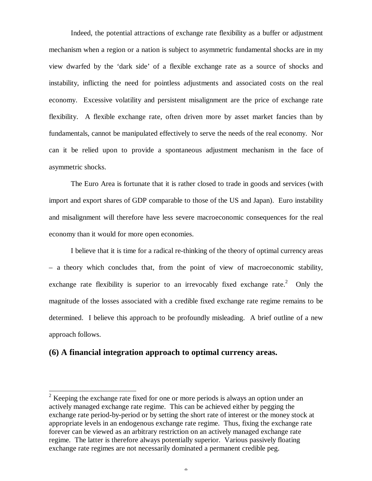Indeed, the potential attractions of exchange rate flexibility as a buffer or adjustment mechanism when a region or a nation is subject to asymmetric fundamental shocks are in my view dwarfed by the 'dark side' of a flexible exchange rate as a source of shocks and instability, inflicting the need for pointless adjustments and associated costs on the real economy. Excessive volatility and persistent misalignment are the price of exchange rate flexibility. A flexible exchange rate, often driven more by asset market fancies than by fundamentals, cannot be manipulated effectively to serve the needs of the real economy. Nor can it be relied upon to provide a spontaneous adjustment mechanism in the face of asymmetric shocks.

The Euro Area is fortunate that it is rather closed to trade in goods and services (with import and export shares of GDP comparable to those of the US and Japan). Euro instability and misalignment will therefore have less severe macroeconomic consequences for the real economy than it would for more open economies.

I believe that it is time for a radical re-thinking of the theory of optimal currency areas – a theory which concludes that, from the point of view of macroeconomic stability, exchange rate flexibility is superior to an irrevocably fixed exchange rate.<sup>2</sup> Only the magnitude of the losses associated with a credible fixed exchange rate regime remains to be determined. I believe this approach to be profoundly misleading. A brief outline of a new approach follows.

#### **(6) A financial integration approach to optimal currency areas.**

-

<sup>&</sup>lt;sup>2</sup> Keeping the exchange rate fixed for one or more periods is always an option under an actively managed exchange rate regime. This can be achieved either by pegging the exchange rate period-by-period or by setting the short rate of interest or the money stock at appropriate levels in an endogenous exchange rate regime. Thus, fixing the exchange rate forever can be viewed as an arbitrary restriction on an actively managed exchange rate regime. The latter is therefore always potentially superior. Various passively floating exchange rate regimes are not necessarily dominated a permanent credible peg.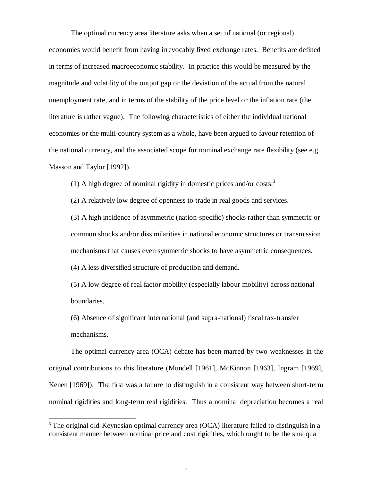The optimal currency area literature asks when a set of national (or regional) economies would benefit from having irrevocably fixed exchange rates. Benefits are defined in terms of increased macroeconomic stability. In practice this would be measured by the magnitude and volatility of the output gap or the deviation of the actual from the natural unemployment rate, and in terms of the stability of the price level or the inflation rate (the literature is rather vague). The following characteristics of either the individual national economies or the multi-country system as a whole, have been argued to favour retention of the national currency, and the associated scope for nominal exchange rate flexibility (see e.g. Masson and Taylor [1992]).

(1) A high degree of nominal rigidity in domestic prices and/or costs.<sup>3</sup>

(2) A relatively low degree of openness to trade in real goods and services.

(3) A high incidence of asymmetric (nation-specific) shocks rather than symmetric or common shocks and/or dissimilarities in national economic structures or transmission mechanisms that causes even symmetric shocks to have asymmetric consequences.

(4) A less diversified structure of production and demand.

l

(5) A low degree of real factor mobility (especially labour mobility) across national boundaries.

(6) Absence of significant international (and supra-national) fiscal tax-transfer mechanisms.

The optimal currency area (OCA) debate has been marred by two weaknesses in the original contributions to this literature (Mundell [1961], McKinnon [1963], Ingram [1969], Kenen [1969]). The first was a failure to distinguish in a consistent way between short-term nominal rigidities and long-term real rigidities. Thus a nominal depreciation becomes a real

<sup>&</sup>lt;sup>3</sup> The original old-Keynesian optimal currency area (OCA) literature failed to distinguish in a consistent manner between nominal price and cost rigidities, which ought to be the sine qua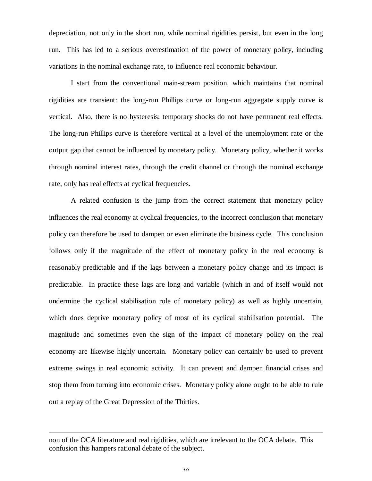depreciation, not only in the short run, while nominal rigidities persist, but even in the long run. This has led to a serious overestimation of the power of monetary policy, including variations in the nominal exchange rate, to influence real economic behaviour.

I start from the conventional main-stream position, which maintains that nominal rigidities are transient: the long-run Phillips curve or long-run aggregate supply curve is vertical. Also, there is no hysteresis: temporary shocks do not have permanent real effects. The long-run Phillips curve is therefore vertical at a level of the unemployment rate or the output gap that cannot be influenced by monetary policy. Monetary policy, whether it works through nominal interest rates, through the credit channel or through the nominal exchange rate, only has real effects at cyclical frequencies.

A related confusion is the jump from the correct statement that monetary policy influences the real economy at cyclical frequencies, to the incorrect conclusion that monetary policy can therefore be used to dampen or even eliminate the business cycle. This conclusion follows only if the magnitude of the effect of monetary policy in the real economy is reasonably predictable and if the lags between a monetary policy change and its impact is predictable. In practice these lags are long and variable (which in and of itself would not undermine the cyclical stabilisation role of monetary policy) as well as highly uncertain, which does deprive monetary policy of most of its cyclical stabilisation potential. The magnitude and sometimes even the sign of the impact of monetary policy on the real economy are likewise highly uncertain. Monetary policy can certainly be used to prevent extreme swings in real economic activity. It can prevent and dampen financial crises and stop them from turning into economic crises. Monetary policy alone ought to be able to rule out a replay of the Great Depression of the Thirties.

l

non of the OCA literature and real rigidities, which are irrelevant to the OCA debate. This confusion this hampers rational debate of the subject.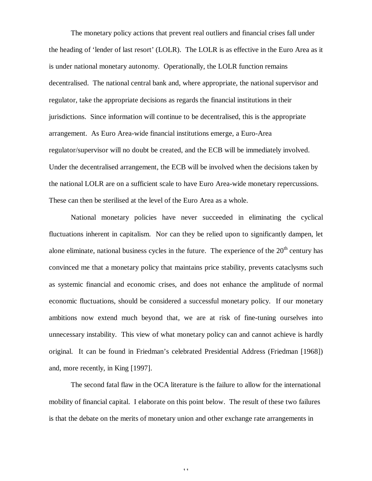The monetary policy actions that prevent real outliers and financial crises fall under the heading of 'lender of last resort' (LOLR). The LOLR is as effective in the Euro Area as it is under national monetary autonomy. Operationally, the LOLR function remains decentralised. The national central bank and, where appropriate, the national supervisor and regulator, take the appropriate decisions as regards the financial institutions in their jurisdictions. Since information will continue to be decentralised, this is the appropriate arrangement. As Euro Area-wide financial institutions emerge, a Euro-Area regulator/supervisor will no doubt be created, and the ECB will be immediately involved. Under the decentralised arrangement, the ECB will be involved when the decisions taken by the national LOLR are on a sufficient scale to have Euro Area-wide monetary repercussions. These can then be sterilised at the level of the Euro Area as a whole.

National monetary policies have never succeeded in eliminating the cyclical fluctuations inherent in capitalism. Nor can they be relied upon to significantly dampen, let alone eliminate, national business cycles in the future. The experience of the  $20<sup>th</sup>$  century has convinced me that a monetary policy that maintains price stability, prevents cataclysms such as systemic financial and economic crises, and does not enhance the amplitude of normal economic fluctuations, should be considered a successful monetary policy. If our monetary ambitions now extend much beyond that, we are at risk of fine-tuning ourselves into unnecessary instability. This view of what monetary policy can and cannot achieve is hardly original. It can be found in Friedman's celebrated Presidential Address (Friedman [1968]) and, more recently, in King [1997].

The second fatal flaw in the OCA literature is the failure to allow for the international mobility of financial capital. I elaborate on this point below. The result of these two failures is that the debate on the merits of monetary union and other exchange rate arrangements in

11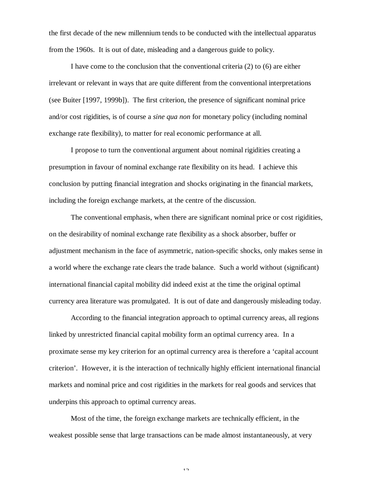the first decade of the new millennium tends to be conducted with the intellectual apparatus from the 1960s. It is out of date, misleading and a dangerous guide to policy.

I have come to the conclusion that the conventional criteria (2) to (6) are either irrelevant or relevant in ways that are quite different from the conventional interpretations (see Buiter [1997, 1999b]). The first criterion, the presence of significant nominal price and/or cost rigidities, is of course a *sine qua non* for monetary policy (including nominal exchange rate flexibility), to matter for real economic performance at all.

I propose to turn the conventional argument about nominal rigidities creating a presumption in favour of nominal exchange rate flexibility on its head. I achieve this conclusion by putting financial integration and shocks originating in the financial markets, including the foreign exchange markets, at the centre of the discussion.

The conventional emphasis, when there are significant nominal price or cost rigidities, on the desirability of nominal exchange rate flexibility as a shock absorber, buffer or adjustment mechanism in the face of asymmetric, nation-specific shocks, only makes sense in a world where the exchange rate clears the trade balance. Such a world without (significant) international financial capital mobility did indeed exist at the time the original optimal currency area literature was promulgated. It is out of date and dangerously misleading today.

According to the financial integration approach to optimal currency areas, all regions linked by unrestricted financial capital mobility form an optimal currency area. In a proximate sense my key criterion for an optimal currency area is therefore a 'capital account criterion'. However, it is the interaction of technically highly efficient international financial markets and nominal price and cost rigidities in the markets for real goods and services that underpins this approach to optimal currency areas.

Most of the time, the foreign exchange markets are technically efficient, in the weakest possible sense that large transactions can be made almost instantaneously, at very

 $1<sub>2</sub>$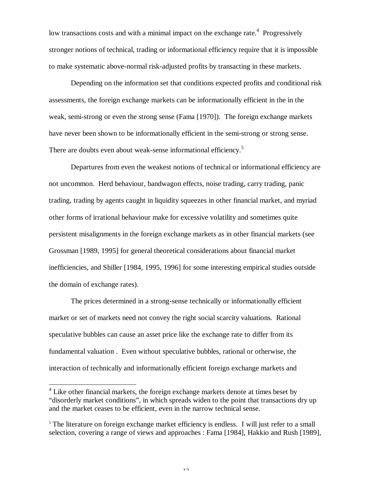low transactions costs and with a minimal impact on the exchange rate.<sup>4</sup> Progressively stronger notions of technical, trading or informational efficiency require that it is impossible to make systematic above-normal risk-adjusted profits by transacting in these markets.

Depending on the information set that conditions expected profits and conditional risk assessments, the foreign exchange markets can be informationally efficient in the in the weak, semi-strong or even the strong sense (Fama [1970]). The foreign exchange markets have never been shown to be informationally efficient in the semi-strong or strong sense. There are doubts even about weak-sense informational efficiency.<sup>5</sup>

Departures from even the weakest notions of technical or informational efficiency are not uncommon. Herd behaviour, bandwagon effects, noise trading, carry trading, panic trading, trading by agents caught in liquidity squeezes in other financial market, and myriad other forms of irrational behaviour make for excessive volatility and sometimes quite persistent misalignments in the foreign exchange markets as in other financial markets (see Grossman [1989, 1995] for general theoretical considerations about financial market inefficiencies, and Shiller [1984, 1995, 1996] for some interesting empirical studies outside the domain of exchange rates).

The prices determined in a strong-sense technically or informationally efficient market or set of markets need not convey the right social scarcity valuations. Rational speculative bubbles can cause an asset price like the exchange rate to differ from its fundamental valuation . Even without speculative bubbles, rational or otherwise, the interaction of technically and informationally efficient foreign exchange markets and

l

 $12$ 

 $4$  Like other financial markets, the foreign exchange markets denote at times beset by "disorderly market conditions", in which spreads widen to the point that transactions dry up and the market ceases to be efficient, even in the narrow technical sense.

<sup>&</sup>lt;sup>5</sup> The literature on foreign exchange market efficiency is endless. I will just refer to a small selection, covering a range of views and approaches : Fama [1984], Hakkio and Rush [1989],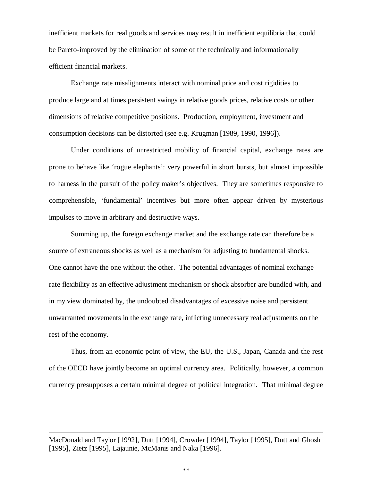inefficient markets for real goods and services may result in inefficient equilibria that could be Pareto-improved by the elimination of some of the technically and informationally efficient financial markets.

Exchange rate misalignments interact with nominal price and cost rigidities to produce large and at times persistent swings in relative goods prices, relative costs or other dimensions of relative competitive positions. Production, employment, investment and consumption decisions can be distorted (see e.g. Krugman [1989, 1990, 1996]).

Under conditions of unrestricted mobility of financial capital, exchange rates are prone to behave like 'rogue elephants': very powerful in short bursts, but almost impossible to harness in the pursuit of the policy maker's objectives. They are sometimes responsive to comprehensible, 'fundamental' incentives but more often appear driven by mysterious impulses to move in arbitrary and destructive ways.

Summing up, the foreign exchange market and the exchange rate can therefore be a source of extraneous shocks as well as a mechanism for adjusting to fundamental shocks. One cannot have the one without the other. The potential advantages of nominal exchange rate flexibility as an effective adjustment mechanism or shock absorber are bundled with, and in my view dominated by, the undoubted disadvantages of excessive noise and persistent unwarranted movements in the exchange rate, inflicting unnecessary real adjustments on the rest of the economy.

Thus, from an economic point of view, the EU, the U.S., Japan, Canada and the rest of the OECD have jointly become an optimal currency area. Politically, however, a common currency presupposes a certain minimal degree of political integration. That minimal degree

MacDonald and Taylor [1992], Dutt [1994], Crowder [1994], Taylor [1995], Dutt and Ghosh [1995], Zietz [1995], Lajaunie, McManis and Naka [1996].

l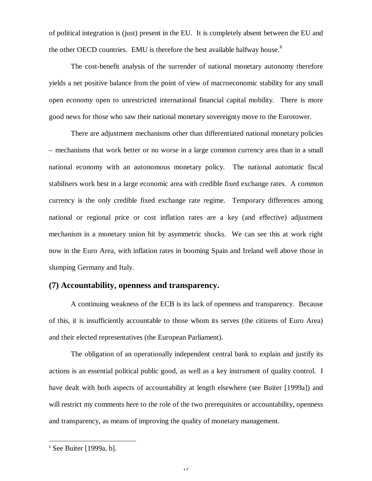of political integration is (just) present in the EU. It is completely absent between the EU and the other OECD countries. EMU is therefore the best available halfway house.<sup>6</sup>

The cost-benefit analysis of the surrender of national monetary autonomy therefore yields a net positive balance from the point of view of macroeconomic stability for any small open economy open to unrestricted international financial capital mobility. There is more good news for those who saw their national monetary sovereignty move to the Eurotower.

There are adjustment mechanisms other than differentiated national monetary policies – mechanisms that work better or no worse in a large common currency area than in a small national economy with an autonomous monetary policy. The national automatic fiscal stabilisers work best in a large economic area with credible fixed exchange rates. A common currency is the only credible fixed exchange rate regime. Temporary differences among national or regional price or cost inflation rates are a key (and effective) adjustment mechanism in a monetary union hit by asymmetric shocks. We can see this at work right now in the Euro Area, with inflation rates in booming Spain and Ireland well above those in slumping Germany and Italy.

## **(7) Accountability, openness and transparency.**

A continuing weakness of the ECB is its lack of openness and transparency. Because of this, it is insufficiently accountable to those whom its serves (the citizens of Euro Area) and their elected representatives (the European Parliament).

The obligation of an operationally independent central bank to explain and justify its actions is an essential political public good, as well as a key instrument of quality control. I have dealt with both aspects of accountability at length elsewhere (see Buiter [1999a]) and will restrict my comments here to the role of the two prerequisites or accountability, openness and transparency, as means of improving the quality of monetary management.

l

 $6$  See Buiter [1999a, b].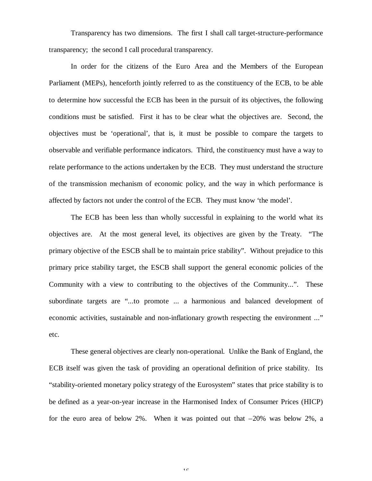Transparency has two dimensions. The first I shall call target-structure-performance transparency; the second I call procedural transparency.

In order for the citizens of the Euro Area and the Members of the European Parliament (MEPs), henceforth jointly referred to as the constituency of the ECB, to be able to determine how successful the ECB has been in the pursuit of its objectives, the following conditions must be satisfied. First it has to be clear what the objectives are. Second, the objectives must be 'operational', that is, it must be possible to compare the targets to observable and verifiable performance indicators. Third, the constituency must have a way to relate performance to the actions undertaken by the ECB. They must understand the structure of the transmission mechanism of economic policy, and the way in which performance is affected by factors not under the control of the ECB. They must know 'the model'.

The ECB has been less than wholly successful in explaining to the world what its objectives are. At the most general level, its objectives are given by the Treaty. "The primary objective of the ESCB shall be to maintain price stability". Without prejudice to this primary price stability target, the ESCB shall support the general economic policies of the Community with a view to contributing to the objectives of the Community...". These subordinate targets are "...to promote ... a harmonious and balanced development of economic activities, sustainable and non-inflationary growth respecting the environment ..." etc.

These general objectives are clearly non-operational. Unlike the Bank of England, the ECB itself was given the task of providing an operational definition of price stability. Its "stability-oriented monetary policy strategy of the Eurosystem" states that price stability is to be defined as a year-on-year increase in the Harmonised Index of Consumer Prices (HICP) for the euro area of below 2%. When it was pointed out that  $-20\%$  was below 2%, a

 $1<sub>c</sub>$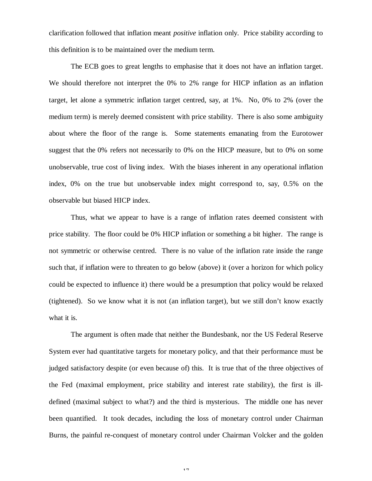clarification followed that inflation meant *positive* inflation only. Price stability according to this definition is to be maintained over the medium term.

The ECB goes to great lengths to emphasise that it does not have an inflation target. We should therefore not interpret the 0% to 2% range for HICP inflation as an inflation target, let alone a symmetric inflation target centred, say, at 1%. No, 0% to 2% (over the medium term) is merely deemed consistent with price stability. There is also some ambiguity about where the floor of the range is. Some statements emanating from the Eurotower suggest that the 0% refers not necessarily to 0% on the HICP measure, but to 0% on some unobservable, true cost of living index. With the biases inherent in any operational inflation index, 0% on the true but unobservable index might correspond to, say, 0.5% on the observable but biased HICP index.

Thus, what we appear to have is a range of inflation rates deemed consistent with price stability. The floor could be 0% HICP inflation or something a bit higher. The range is not symmetric or otherwise centred. There is no value of the inflation rate inside the range such that, if inflation were to threaten to go below (above) it (over a horizon for which policy could be expected to influence it) there would be a presumption that policy would be relaxed (tightened). So we know what it is not (an inflation target), but we still don't know exactly what it is.

The argument is often made that neither the Bundesbank, nor the US Federal Reserve System ever had quantitative targets for monetary policy, and that their performance must be judged satisfactory despite (or even because of) this. It is true that of the three objectives of the Fed (maximal employment, price stability and interest rate stability), the first is illdefined (maximal subject to what?) and the third is mysterious. The middle one has never been quantified. It took decades, including the loss of monetary control under Chairman Burns, the painful re-conquest of monetary control under Chairman Volcker and the golden

17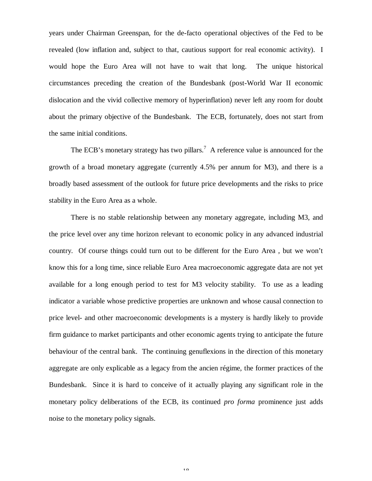years under Chairman Greenspan, for the de-facto operational objectives of the Fed to be revealed (low inflation and, subject to that, cautious support for real economic activity). I would hope the Euro Area will not have to wait that long. The unique historical circumstances preceding the creation of the Bundesbank (post-World War II economic dislocation and the vivid collective memory of hyperinflation) never left any room for doubt about the primary objective of the Bundesbank. The ECB, fortunately, does not start from the same initial conditions.

The ECB's monetary strategy has two pillars.<sup>7</sup> A reference value is announced for the growth of a broad monetary aggregate (currently 4.5% per annum for M3), and there is a broadly based assessment of the outlook for future price developments and the risks to price stability in the Euro Area as a whole.

There is no stable relationship between any monetary aggregate, including M3, and the price level over any time horizon relevant to economic policy in any advanced industrial country. Of course things could turn out to be different for the Euro Area , but we won't know this for a long time, since reliable Euro Area macroeconomic aggregate data are not yet available for a long enough period to test for M3 velocity stability. To use as a leading indicator a variable whose predictive properties are unknown and whose causal connection to price level- and other macroeconomic developments is a mystery is hardly likely to provide firm guidance to market participants and other economic agents trying to anticipate the future behaviour of the central bank. The continuing genuflexions in the direction of this monetary aggregate are only explicable as a legacy from the ancien régime, the former practices of the Bundesbank. Since it is hard to conceive of it actually playing any significant role in the monetary policy deliberations of the ECB, its continued *pro forma* prominence just adds noise to the monetary policy signals.

10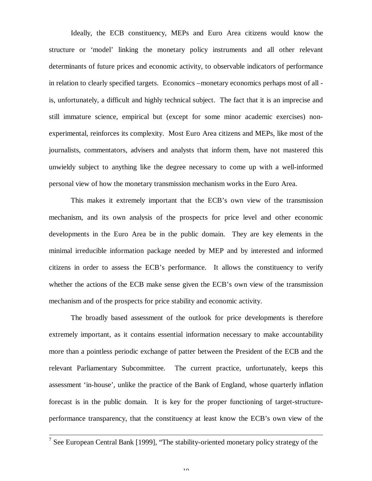Ideally, the ECB constituency, MEPs and Euro Area citizens would know the structure or 'model' linking the monetary policy instruments and all other relevant determinants of future prices and economic activity, to observable indicators of performance in relation to clearly specified targets. Economics –monetary economics perhaps most of all is, unfortunately, a difficult and highly technical subject. The fact that it is an imprecise and still immature science, empirical but (except for some minor academic exercises) nonexperimental, reinforces its complexity. Most Euro Area citizens and MEPs, like most of the journalists, commentators, advisers and analysts that inform them, have not mastered this unwieldy subject to anything like the degree necessary to come up with a well-informed personal view of how the monetary transmission mechanism works in the Euro Area.

This makes it extremely important that the ECB's own view of the transmission mechanism, and its own analysis of the prospects for price level and other economic developments in the Euro Area be in the public domain. They are key elements in the minimal irreducible information package needed by MEP and by interested and informed citizens in order to assess the ECB's performance. It allows the constituency to verify whether the actions of the ECB make sense given the ECB's own view of the transmission mechanism and of the prospects for price stability and economic activity.

The broadly based assessment of the outlook for price developments is therefore extremely important, as it contains essential information necessary to make accountability more than a pointless periodic exchange of patter between the President of the ECB and the relevant Parliamentary Subcommittee. The current practice, unfortunately, keeps this assessment 'in-house', unlike the practice of the Bank of England, whose quarterly inflation forecast is in the public domain. It is key for the proper functioning of target-structureperformance transparency, that the constituency at least know the ECB's own view of the

<sup>&</sup>lt;sup>7</sup> See European Central Bank [1999], "The stability-oriented monetary policy strategy of the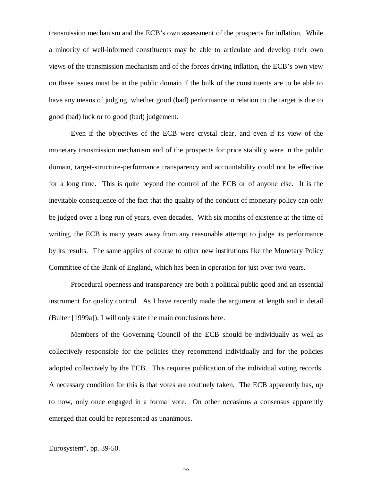transmission mechanism and the ECB's own assessment of the prospects for inflation. While a minority of well-informed constituents may be able to articulate and develop their own views of the transmission mechanism and of the forces driving inflation, the ECB's own view on these issues must be in the public domain if the bulk of the constituents are to be able to have any means of judging whether good (bad) performance in relation to the target is due to good (bad) luck or to good (bad) judgement.

Even if the objectives of the ECB were crystal clear, and even if its view of the monetary transmission mechanism and of the prospects for price stability were in the public domain, target-structure-performance transparency and accountability could not be effective for a long time. This is quite beyond the control of the ECB or of anyone else. It is the inevitable consequence of the fact that the quality of the conduct of monetary policy can only be judged over a long run of years, even decades. With six months of existence at the time of writing, the ECB is many years away from any reasonable attempt to judge its performance by its results. The same applies of course to other new institutions like the Monetary Policy Committee of the Bank of England, which has been in operation for just over two years.

Procedural openness and transparency are both a political public good and an essential instrument for quality control. As I have recently made the argument at length and in detail (Buiter [1999a]), I will only state the main conclusions here.

Members of the Governing Council of the ECB should be individually as well as collectively responsible for the policies they recommend individually and for the policies adopted collectively by the ECB. This requires publication of the individual voting records. A necessary condition for this is that votes are routinely taken. The ECB apparently has, up to now, only once engaged in a formal vote. On other occasions a consensus apparently emerged that could be represented as unanimous.

l

Eurosystem", pp. 39-50.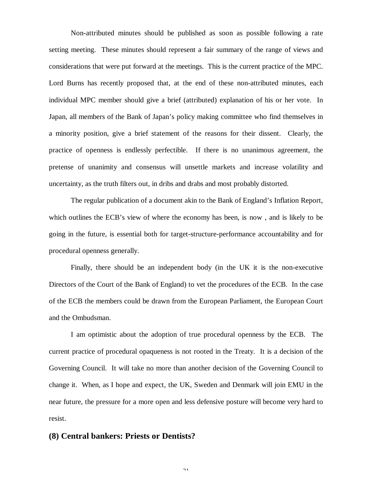Non-attributed minutes should be published as soon as possible following a rate setting meeting. These minutes should represent a fair summary of the range of views and considerations that were put forward at the meetings. This is the current practice of the MPC. Lord Burns has recently proposed that, at the end of these non-attributed minutes, each individual MPC member should give a brief (attributed) explanation of his or her vote. In Japan, all members of the Bank of Japan's policy making committee who find themselves in a minority position, give a brief statement of the reasons for their dissent. Clearly, the practice of openness is endlessly perfectible. If there is no unanimous agreement, the pretense of unanimity and consensus will unsettle markets and increase volatility and uncertainty, as the truth filters out, in dribs and drabs and most probably distorted.

The regular publication of a document akin to the Bank of England's Inflation Report, which outlines the ECB's view of where the economy has been, is now , and is likely to be going in the future, is essential both for target-structure-performance accountability and for procedural openness generally.

Finally, there should be an independent body (in the UK it is the non-executive Directors of the Court of the Bank of England) to vet the procedures of the ECB. In the case of the ECB the members could be drawn from the European Parliament, the European Court and the Ombudsman.

I am optimistic about the adoption of true procedural openness by the ECB. The current practice of procedural opaqueness is not rooted in the Treaty. It is a decision of the Governing Council. It will take no more than another decision of the Governing Council to change it. When, as I hope and expect, the UK, Sweden and Denmark will join EMU in the near future, the pressure for a more open and less defensive posture will become very hard to resist.

# **(8) Central bankers: Priests or Dentists?**

 $21$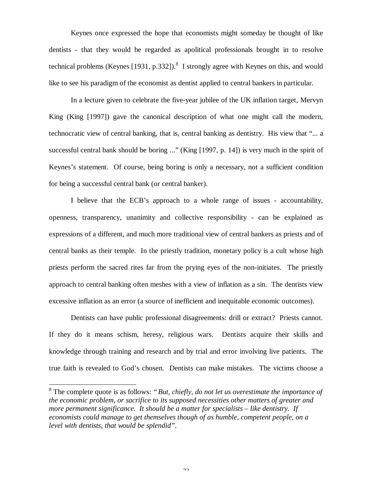Keynes once expressed the hope that economists might someday be thought of like dentists - that they would be regarded as apolitical professionals brought in to resolve technical problems (Keynes [1931, p.332]).<sup>8</sup> I strongly agree with Keynes on this, and would like to see his paradigm of the economist as dentist applied to central bankers in particular.

In a lecture given to celebrate the five-year jubilee of the UK inflation target, Mervyn King (King [1997]) gave the canonical description of what one might call the modern, technocratic view of central banking, that is, central banking as dentistry. His view that "... a successful central bank should be boring ..." (King [1997, p. 14]) is very much in the spirit of Keynes's statement. Of course, being boring is only a necessary, not a sufficient condition for being a successful central bank (or central banker).

I believe that the ECB's approach to a whole range of issues - accountability, openness, transparency, unanimity and collective responsibility - can be explained as expressions of a different, and much more traditional view of central bankers as priests and of central banks as their temple. In the priestly tradition, monetary policy is a cult whose high priests perform the sacred rites far from the prying eyes of the non-initiates. The priestly approach to central banking often meshes with a view of inflation as a sin. The dentists view excessive inflation as an error (a source of inefficient and inequitable economic outcomes).

Dentists can have public professional disagreements: drill or extract? Priests cannot. If they do it means schism, heresy, religious wars. Dentists acquire their skills and knowledge through training and research and by trial and error involving live patients. The true faith is revealed to God's chosen. Dentists can make mistakes. The victims choose a

l

 $\mathcal{L}$ 

<sup>8</sup> The complete quote is as follows: *"But, chiefly, do not let us overestimate the importance of the economic problem, or sacrifice to its supposed necessities other matters of greater and more permanent significance. It should be a matter for specialists – like dentistry. If economists could manage to get themselves though of as humble, competent people, on a level with dentists, that would be splendid".*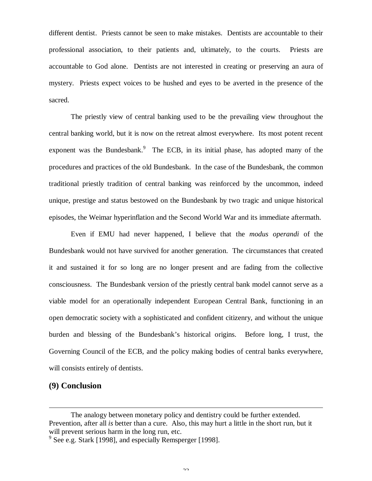different dentist. Priests cannot be seen to make mistakes. Dentists are accountable to their professional association, to their patients and, ultimately, to the courts. Priests are accountable to God alone. Dentists are not interested in creating or preserving an aura of mystery. Priests expect voices to be hushed and eyes to be averted in the presence of the sacred.

The priestly view of central banking used to be the prevailing view throughout the central banking world, but it is now on the retreat almost everywhere. Its most potent recent exponent was the Bundesbank. $9$  The ECB, in its initial phase, has adopted many of the procedures and practices of the old Bundesbank. In the case of the Bundesbank, the common traditional priestly tradition of central banking was reinforced by the uncommon, indeed unique, prestige and status bestowed on the Bundesbank by two tragic and unique historical episodes, the Weimar hyperinflation and the Second World War and its immediate aftermath.

Even if EMU had never happened, I believe that the *modus operandi* of the Bundesbank would not have survived for another generation. The circumstances that created it and sustained it for so long are no longer present and are fading from the collective consciousness. The Bundesbank version of the priestly central bank model cannot serve as a viable model for an operationally independent European Central Bank, functioning in an open democratic society with a sophisticated and confident citizenry, and without the unique burden and blessing of the Bundesbank's historical origins. Before long, I trust, the Governing Council of the ECB, and the policy making bodies of central banks everywhere, will consists entirely of dentists.

# **(9) Conclusion**

l

The analogy between monetary policy and dentistry could be further extended. Prevention, after all *is* better than a cure. Also, this may hurt a little in the short run, but it will prevent serious harm in the long run, etc.

<sup>&</sup>lt;sup>9</sup> See e.g. Stark [1998], and especially Remsperger [1998].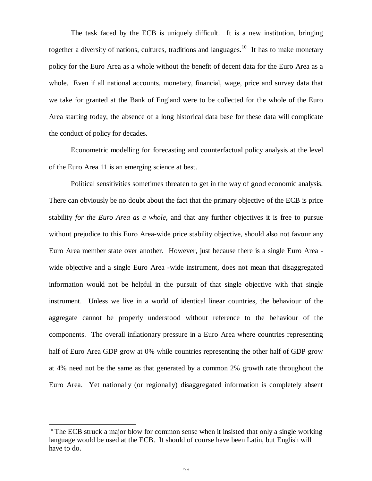The task faced by the ECB is uniquely difficult. It is a new institution, bringing together a diversity of nations, cultures, traditions and languages.<sup>10</sup> It has to make monetary policy for the Euro Area as a whole without the benefit of decent data for the Euro Area as a whole. Even if all national accounts, monetary, financial, wage, price and survey data that we take for granted at the Bank of England were to be collected for the whole of the Euro Area starting today, the absence of a long historical data base for these data will complicate the conduct of policy for decades.

Econometric modelling for forecasting and counterfactual policy analysis at the level of the Euro Area 11 is an emerging science at best.

Political sensitivities sometimes threaten to get in the way of good economic analysis. There can obviously be no doubt about the fact that the primary objective of the ECB is price stability *for the Euro Area as a whole*, and that any further objectives it is free to pursue without prejudice to this Euro Area-wide price stability objective, should also not favour any Euro Area member state over another. However, just because there is a single Euro Area wide objective and a single Euro Area -wide instrument, does not mean that disaggregated information would not be helpful in the pursuit of that single objective with that single instrument. Unless we live in a world of identical linear countries, the behaviour of the aggregate cannot be properly understood without reference to the behaviour of the components. The overall inflationary pressure in a Euro Area where countries representing half of Euro Area GDP grow at 0% while countries representing the other half of GDP grow at 4% need not be the same as that generated by a common 2% growth rate throughout the Euro Area. Yet nationally (or regionally) disaggregated information is completely absent

l

 $10$  The ECB struck a major blow for common sense when it insisted that only a single working language would be used at the ECB. It should of course have been Latin, but English will have to do.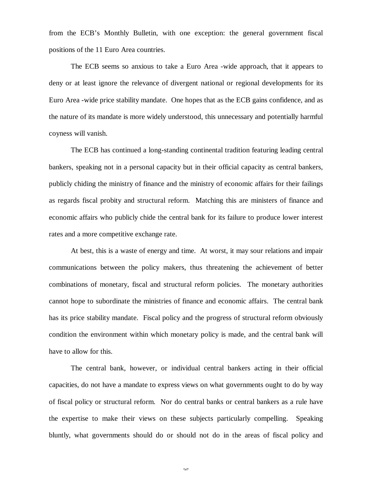from the ECB's Monthly Bulletin, with one exception: the general government fiscal positions of the 11 Euro Area countries.

The ECB seems so anxious to take a Euro Area -wide approach, that it appears to deny or at least ignore the relevance of divergent national or regional developments for its Euro Area -wide price stability mandate. One hopes that as the ECB gains confidence, and as the nature of its mandate is more widely understood, this unnecessary and potentially harmful coyness will vanish.

The ECB has continued a long-standing continental tradition featuring leading central bankers, speaking not in a personal capacity but in their official capacity as central bankers, publicly chiding the ministry of finance and the ministry of economic affairs for their failings as regards fiscal probity and structural reform. Matching this are ministers of finance and economic affairs who publicly chide the central bank for its failure to produce lower interest rates and a more competitive exchange rate.

At best, this is a waste of energy and time. At worst, it may sour relations and impair communications between the policy makers, thus threatening the achievement of better combinations of monetary, fiscal and structural reform policies. The monetary authorities cannot hope to subordinate the ministries of finance and economic affairs. The central bank has its price stability mandate. Fiscal policy and the progress of structural reform obviously condition the environment within which monetary policy is made, and the central bank will have to allow for this.

The central bank, however, or individual central bankers acting in their official capacities, do not have a mandate to express views on what governments ought to do by way of fiscal policy or structural reform. Nor do central banks or central bankers as a rule have the expertise to make their views on these subjects particularly compelling. Speaking bluntly, what governments should do or should not do in the areas of fiscal policy and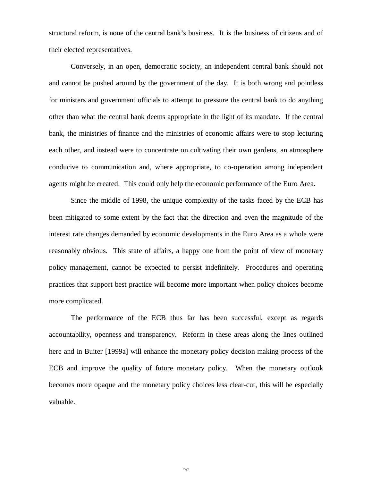structural reform, is none of the central bank's business. It is the business of citizens and of their elected representatives.

Conversely, in an open, democratic society, an independent central bank should not and cannot be pushed around by the government of the day. It is both wrong and pointless for ministers and government officials to attempt to pressure the central bank to do anything other than what the central bank deems appropriate in the light of its mandate. If the central bank, the ministries of finance and the ministries of economic affairs were to stop lecturing each other, and instead were to concentrate on cultivating their own gardens, an atmosphere conducive to communication and, where appropriate, to co-operation among independent agents might be created. This could only help the economic performance of the Euro Area.

Since the middle of 1998, the unique complexity of the tasks faced by the ECB has been mitigated to some extent by the fact that the direction and even the magnitude of the interest rate changes demanded by economic developments in the Euro Area as a whole were reasonably obvious. This state of affairs, a happy one from the point of view of monetary policy management, cannot be expected to persist indefinitely. Procedures and operating practices that support best practice will become more important when policy choices become more complicated.

The performance of the ECB thus far has been successful, except as regards accountability, openness and transparency. Reform in these areas along the lines outlined here and in Buiter [1999a] will enhance the monetary policy decision making process of the ECB and improve the quality of future monetary policy. When the monetary outlook becomes more opaque and the monetary policy choices less clear-cut, this will be especially valuable.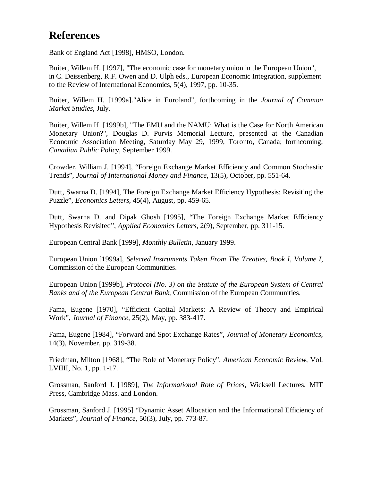# **References**

Bank of England Act [1998], HMSO, London.

Buiter, Willem H. [1997], "The economic case for monetary union in the European Union", in C. Deissenberg, R.F. Owen and D. Ulph eds., European Economic Integration, supplement to the Review of International Economics, 5(4), 1997, pp. 10-35.

Buiter, Willem H. [1999a]."Alice in Euroland", forthcoming in the *Journal of Common Market Studies*, July.

Buiter, Willem H. [1999b], "The EMU and the NAMU: What is the Case for North American Monetary Union?", Douglas D. Purvis Memorial Lecture, presented at the Canadian Economic Association Meeting, Saturday May 29, 1999, Toronto, Canada; forthcoming, *Canadian Public Policy*, September 1999.

Crowder, William J. [1994], "Foreign Exchange Market Efficiency and Common Stochastic Trends", *Journal of International Money and Finance*, 13(5), October, pp. 551-64.

Dutt, Swarna D. [1994], The Foreign Exchange Market Efficiency Hypothesis: Revisiting the Puzzle", *Economics Letters*, 45(4), August, pp. 459-65.

Dutt, Swarna D. and Dipak Ghosh [1995], "The Foreign Exchange Market Efficiency Hypothesis Revisited", *Applied Economics Letters*, 2(9), September, pp. 311-15.

European Central Bank [1999], *Monthly Bulletin*, January 1999.

European Union [1999a], *Selected Instruments Taken From The Treaties, Book I, Volume I*, Commission of the European Communities.

European Union [1999b], *Protocol (No. 3) on the Statute of the European System of Central Banks and of the European Central Bank*, Commission of the European Communities.

Fama, Eugene [1970], "Efficient Capital Markets: A Review of Theory and Empirical Work", *Journal of Finance*, 25(2), May, pp. 383-417.

Fama, Eugene [1984], "Forward and Spot Exchange Rates", *Journal of Monetary Economics*, 14(3), November, pp. 319-38.

Friedman, Milton [1968], "The Role of Monetary Policy", *American Economic Review*, Vol. LVIIII, No. 1, pp. 1-17.

Grossman, Sanford J. [1989], *The Informational Role of Prices*, Wicksell Lectures, MIT Press, Cambridge Mass. and London.

Grossman, Sanford J. [1995] "Dynamic Asset Allocation and the Informational Efficiency of Markets", *Journal of Finance*, 50(3), July, pp. 773-87.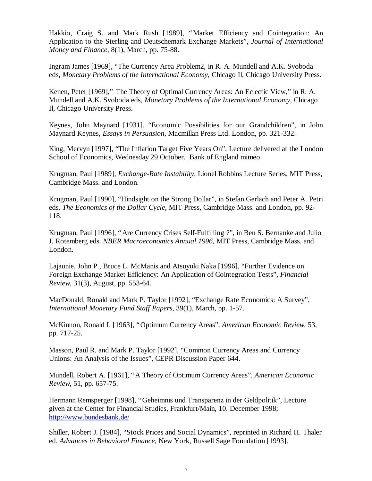Hakkio, Craig S. and Mark Rush [1989], "Market Efficiency and Cointegration: An Application to the Sterling and Deutschemark Exchange Markets", *Journal of International Money and Finance*, 8(1), March, pp. 75-88.

Ingram James [1969], "The Currency Area Problem2, in R. A. Mundell and A.K. Svoboda eds, *Monetary Problems of the International Economy*, Chicago Il, Chicago University Press.

Kenen, Peter [1969]," The Theory of Optimal Currency Areas: An Eclectic View," in R. A. Mundell and A.K. Svoboda eds, *Monetary Problems of the International Economy*, Chicago Il, Chicago University Press.

Keynes, John Maynard [1931], "Economic Possibilities for our Grandchildren", in John Maynard Keynes, *Essays in Persuasion*, Macmillan Press Ltd. London, pp. 321-332.

King, Mervyn [1997], "The Inflation Target Five Years On", Lecture delivered at the London School of Economics, Wednesday 29 October. Bank of England mimeo.

Krugman, Paul [1989], *Exchange-Rate Instability*, Lionel Robbins Lecture Series, MIT Press, Cambridge Mass. and London.

Krugman, Paul [1990], "Hindsight on the Strong Dollar", in Stefan Gerlach and Peter A. Petri eds. *The Economics of the Dollar Cycle*, MIT Press, Cambridge Mass. and London, pp. 92- 118.

Krugman, Paul [1996], "Are Currency Crises Self-Fulfilling ?", in Ben S. Bernanke and Julio J. Rotemberg eds. *NBER Macroeconomics Annual 1996*, MIT Press, Cambridge Mass. and London.

Lajaunie, John P., Bruce L. McManis and Atsuyuki Naka [1996], "Further Evidence on Foreign Exchange Market Efficiency: An Application of Cointegration Tests", *Financial Review*, 31(3), August, pp. 553-64.

MacDonald, Ronald and Mark P. Taylor [1992], "Exchange Rate Economics: A Survey", *International Monetary Fund Staff Papers*, 39(1), March, pp. 1-57.

McKinnon, Ronald I. [1963], "Optimum Currency Areas", *American Economic Review*, 53, pp. 717-25.

Masson, Paul R. and Mark P. Taylor [1992], "Common Currency Areas and Currency Unions: An Analysis of the Issues", CEPR Discussion Paper 644.

Mundell, Robert A. [1961], "A Theory of Optimum Currency Areas", *American Economic Review*, 51, pp. 657-75.

Hermann Remsperger [1998], "Geheimnis und Transparenz in der Geldpolitik", Lecture given at the Center for Financial Studies, Frankfurt/Main, 10. December 1998; http://www.bundesbank.de/

Shiller, Robert J. [1984], "Stock Prices and Social Dynamics", reprinted in Richard H. Thaler ed. *Advances in Behavioral Finance*, New York, Russell Sage Foundation [1993].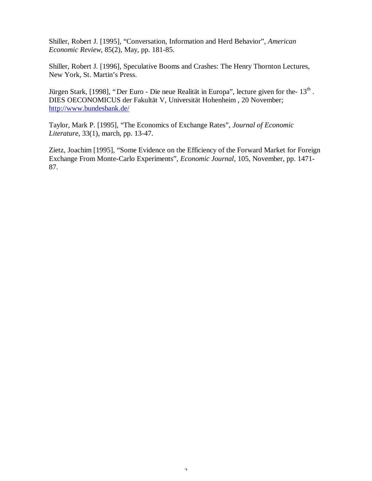Shiller, Robert J. [1995], "Conversation, Information and Herd Behavior", *American Economic Review*, 85(2), May, pp. 181-85.

Shiller, Robert J. [1996], Speculative Booms and Crashes: The Henry Thornton Lectures, New York, St. Martin's Press.

Jürgen Stark, [1998], "Der Euro - Die neue Realität in Europa", lecture given for the- $13<sup>th</sup>$ . DIES OECONOMICUS der Fakultät V, Universität Hohenheim , 20 November; http://www.bundesbank.de/

Taylor, Mark P. [1995], "The Economics of Exchange Rates", *Journal of Economic Literature*, 33(1), march, pp. 13-47.

Zietz, Joachim [1995], "Some Evidence on the Efficiency of the Forward Market for Foreign Exchange From Monte-Carlo Experiments", *Economic Journal*, 105, November, pp. 1471- 87.